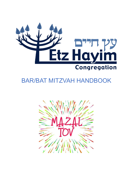

# BAR/BAT MITZVAH HANDBOOK

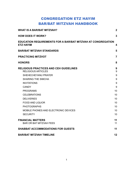# CONGREGATION ETZ HAYIM BAR/BAT MITZVAH HANDBOOK

| <b>WHAT IS A BAR/BAT MITZVAH?</b>                                                                                                                                                                                                                                                                                                              | $\mathbf{2}$                                                         |
|------------------------------------------------------------------------------------------------------------------------------------------------------------------------------------------------------------------------------------------------------------------------------------------------------------------------------------------------|----------------------------------------------------------------------|
| <b>HOW DOES IT WORK?</b>                                                                                                                                                                                                                                                                                                                       | 3                                                                    |
| <b>EDUCATION REQUIREMENTS FOR A BAR/BAT MITZVAH AT CONGREGATION</b><br><b>ETZ HAYIM</b>                                                                                                                                                                                                                                                        | $\boldsymbol{4}$                                                     |
| <b>BAR/BAT MITZVAH STANDARDS</b>                                                                                                                                                                                                                                                                                                               | 5                                                                    |
| <b>PRACTICING MITZVOT</b>                                                                                                                                                                                                                                                                                                                      | $\overline{7}$                                                       |
| <b>HONORS</b>                                                                                                                                                                                                                                                                                                                                  | 8                                                                    |
| <b>RELIGIOUS PRACTICES AND CEH GUIDELINES</b><br><b>RELIGIOUS ARTICLES</b><br>SHEHECHEYANU PRAYER<br><b>SHARING THE SIMCHA</b><br><b>INVITATIONS</b><br><b>CANDY</b><br><b>PROGRAMS</b><br><b>CELEBRATIONS</b><br><b>DELIVERIES</b><br><b>FOOD AND LIQUOR</b><br><b>PHOTOGRAPHS</b><br>MOBILE PHONES AND ELECTRONIC DEVICES<br><b>SECURITY</b> | 9<br>9<br>9<br>9<br>9<br>9<br>10<br>10<br>10<br>10<br>10<br>10<br>10 |
| <b>FINANCIAL MATTERS</b><br><b>BAR OR BAT MITZVAH FEES</b>                                                                                                                                                                                                                                                                                     | 11<br>11                                                             |
| <b>SHABBAT ACCOMMODATIONS FOR GUESTS</b>                                                                                                                                                                                                                                                                                                       | 11                                                                   |
| <b>BAR/BAT MITZVAH TIMELINE</b>                                                                                                                                                                                                                                                                                                                | 12                                                                   |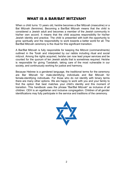# WHAT IS A BAR/BAT MITZVAH?

<span id="page-2-0"></span>When a child turns 13 years old, he/she becomes a Bar Mitzvah (masculine) or a Bat Mitzvah (feminine). Becoming a Bar/Bat Mitzvah means that the child is considered a Jewish adult and becomes a member of the Jewish community in his/her own accord. It means that the child acquires responsibility for his/her Jewish identity and practice. The child is presented with both the opportunity to grow spiritually and the responsibility to work towards a better world for all. The Bar/Bat Mitzvah ceremony is the ritual for this significant transition.

A Bar/Bat Mitzvah is fully responsible for keeping the Mitzvot (commandments) outlined in the Torah and interpreted by our rabbis including ritual and social mitzvot. Among the rights acquired, he/she can now lead prayer services and be counted for the quorum of ten Jewish adults that is sometimes required. He/she is responsible for giving Tzedakah, taking care of the most vulnerable in our society, and continuously working for justice and harmony.

Because Hebrew is a gendered language, the traditional terms for the ceremony are Bar Mitzvah for male-identifying individuals and Bat Mitzvah for female-identifying individuals. For those who do not identify with binary terms there are many other options. We are happy to work with you and your family to find the option that best matches your child's identity and this moment of transition. This handbook uses the phrase "Bar/Bat Mitzvah" as inclusive of all children. CEH is an egalitarian and inclusive congregation. Children of all gender identifications may fully participate in the service and traditions of the ceremony.

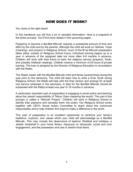# HOW DOES IT WORK?

<span id="page-3-0"></span>You came to the right place!

In this handbook you will find a lot of valuable information. Here is a snapshot of the entire process. You'll find more details in the upcoming pages.

Preparing to become a Bar/Bat Mitzvah requires a substantial amount of time and effort by the child and by the parents. Although the child will work on Hebrew, Trope (chanting), and prayers in Religious School, much of the B'nai Mitzvah preparation takes place outside of Religious School hours. Individual tutoring begins up to a year in advance of the assigned date but more often 8-9 months in advance. Children will work with their tutors to learn the religious service (prayers), Torah, and possibly Haftarah readings. Children receive a minimum of 20 hours of private tutoring. The tutor is assigned by the Director of Religious Education in consultation with the Rabbi.

The Rabbi meets with the Bar/Bat Mitzvah child and family several times during the year prior to the ceremony. The child will learn how to write a Dvar Torah during Religious School; the Rabbi will help with the final version and arrange for at least one service rehearsal in the sanctuary. A date for the Bar/Bat Mitzvah should be scheduled with the Rabbi at least one year to 18 months in advance.

A particularly important part of preparation is engaging in social action and learning about the Jewish responsibility of Tikkun Olam (repairing the world). This part of the process is called a "Mitzvah Project." Children will work in Religious School to identify their passions and translate them into action. Our Religious School works together with CEH's Social Action Committee to teach about this communal responsibility and to help children find ways to make a difference in the world.

This year of preparation is an excellent opportunity to reinforce your family's traditions, customs, and values which your child will acknowledge as a Bar/Bat Mitzvah. This may include the observance of kashrut, Shabbat and holidays, a Jewish bookshelf in your home library, mezzuzot on doorposts, social and civic engagement, and the possession and use of Jewish ritual items.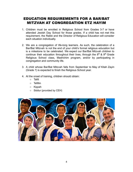# <span id="page-4-0"></span>EDUCATION REQUIREMENTS FOR A BAR/BAT MITZVAH AT CONGREGATION ETZ HAYIM

- 1. Children must be enrolled in Religious School from Grades 3-7 or have attended Jewish Day School for those grades. If a child has not met this requirement, the Rabbi and the Director of Religious Education will consider each situation individually.
- 2. We are a congregation of life-long learners. As such, the celebration of a Bar/Bat Mitzvah is not the end of your child's formal religious education but is a milestone to be celebrated. We expect our Bar/Bat Mitzvah children to continue their education throughout their lives, through the  $8<sup>th</sup>$  &  $9<sup>th</sup>$  Grade Religious School class, Madrichim program, and/or by participating in congregation and community life.
- 3. A child whose Bar/Bat Mitzvah falls from September to May of Kitah Zayin (Grade 7) is expected to finish the Religious School year.
- 4. At the onset of training, children should obtain:
	- Tallit
	- Tefillin
	- Kippah
	- Siddur (provided by CEH)

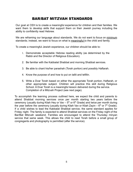# BAR/BAT MITZVAH STANDARDS

<span id="page-5-0"></span>Our goal at CEH is to create a meaningful experience for children and their families. We want them to develop skills that support them on their Jewish journey including the ability to confidently read Hebrew.

We are reframing our language about standards. We do not want to focus on minimum standards; instead, we want to focus on what is meaningful to the child and family.

To create a meaningful Jewish experience, our children should be able to:

- 1. Demonstrate acceptable Hebrew reading ability (as determined by the Rabbi and the Director of Religious Education).
- 2. Be familiar with the Kabbalat Shabbat and morning Shabbat services.
- 3. Be able to chant his/her parashah (Torah portion) and possibly Haftarah.
- 4. Know the purpose of and how to put on tallit and tefillin.
- 5. Write a Dvar Torah based on either the appropriate Torah portion, Haftarah, or other appropriate subject. Children will practice this skill during Religious School. A Dvar Torah is a meaningful lesson delivered during the service. Completion of a Mitzvah Project (see next page).

To accomplish the learning process outlined here, we expect the child and parents to attend Shabbat morning services once per month starting two years before the ceremony (usually during Kitah Hey or Vav  $-5<sup>th</sup>$  or 6<sup>th</sup> Grade) and twice per month during the year before the ceremony (usually during Kitah Vav or Kitah Zayin –  $6<sup>th</sup>$  or  $7<sup>th</sup>$  Grade). If a child wishes to lead the Kabbalat Shabbat service, the same standard applies for Friday night. The family is expected to attend Shabbat services on the Friday night of the Bar/Bat Mitzvah weekend. Families are encouraged to attend the Thursday minyan service that same week. This allows the child to read Torah before a small group of congregants and photography is permitted (after the service).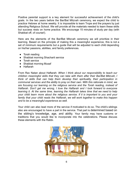Positive parental support is a key element for successful achievement of the child's goals. In the two years before the Bar/Bat Mitzvah ceremony, we expect the child to practice Hebrew at home weekly. It is impossible to learn Trope and the prayers by just attending Religious School. We will provide all the materials needed to learn these skills but success rests on home practice. We encourage 15 minutes of study per day (with Shabbat off, of course!).

Here are the elements of the Bar/Bat Mitzvah ceremony we will prioritize in their learning. Based on the principle of making this a meaningful experience, this is not a set of minimum requirements but a guide that will be adjusted to each child depending on his/her passions, abilities, and family preferences.

- Torah reading
- Shabbat morning Shacharit service
- Torah service
- Shabbat morning Musaf
- Haftarah

From Rav Natan about Haftarah: *When I think about our responsibility to teach our children meaningful skills that they can take with them after their Bar/Bat Mitzvah, I think of skills that can help them develop their spirituality, their participation in communal services and the ability to pray on their own. With this rationale in mind, we are focusing our learning on the religious service and the Torah reading, instead of Haftarah. Don't get me wrong, I love the Haftarah and I look forward to everyone learning it. At the same time, learning the Haftarah takes time that we need to help your child learn more about the religious service. If it is important to you and your family that your child reads the Haftarah, we will work together to make this happen and to be a meaningful experience as well.*

Your child can also lead more of the service if motivated to do so. The child's siblings also are encouraged to have a part in the service. That part is determined based on the sibling's knowledge, age, and ability. Your family may have customs or traditions that you would like to incorporate into the celebrations. Please discuss these elements with the Rabbi.

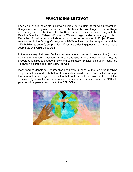# PRACTICING MITZVOT

<span id="page-7-0"></span>Each child should complete a Mitzvah Project during Bar/Bat Mitzvah preparation. Suggestions for projects can be found in the books Mitzvah Magic by Danny Siegel and Putting God on the Guest List by Rabbi Jeffrey Salkin, or by speaking with the Rabbi or Director of Religious Education. We encourage hands-on work by your child. Examples of past projects include repairing bikes to be donated to Project Phoenix, volunteering in the Asperger's program at HB Woodlawn, and landscaping around the CEH building to beautify our premises. If you are collecting goods for donation, please coordinate with CEH Office staff.

In the same way that many families become more connected to Jewish ritual (mitzvot bein adam laMakom – between a person and God) in this phase of their lives, we encourage families to engage in civic and social action (mitzvot bein adam lechavero – between a person and their fellow) as well.

Many families donate to Congregation Etz Hayim in honor of their children reaching religious maturity, and on behalf of their guests who will receive honors. It is our hope that you will decide together as a family how to allocate tzedakah in honor of this occasion. If you want to know more about how you can make an impact at CEH with your donation, please reach out to the CEH Office.

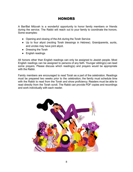# **HONORS**

<span id="page-8-0"></span>A Bar/Bat Mitzvah is a wonderful opportunity to honor family members or friends during the service. The Rabbi will reach out to your family to coordinate the honors. Some examples:

- Opening and closing of the Ark during the Torah Service
- Up to four aliyot (reciting Torah blessings in Hebrew). Grandparents, aunts, and uncles may have joint aliyot.
- Dressing the Torah
- English readings

All honors other than English readings can only be assigned to Jewish people. Most English readings can be assigned to persons of any faith. Younger sibling(s) can lead some prayers. Please discuss which reading(s) and prayers would be appropriate with the Rabbi.

Family members are encouraged to read Torah as a part of the celebration. Readings must be prepared two weeks prior to the celebration; the family must schedule time with the Rabbi to read from the Torah and show proficiency. Readers must be able to read directly from the Torah scroll. The Rabbi can provide PDF copies and recordings and work individually with each reader.

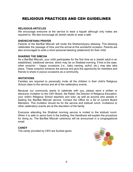# <span id="page-9-0"></span>RELIGIOUS PRACTICES AND CEH GUIDELINES

### <span id="page-9-1"></span>**RELIGIOUS ARTICLES**

We encourage everyone at the service to wear a kippah although only males are required to. We also encourage all Jewish adults to wear a tallit.

### <span id="page-9-2"></span>**SHEHECHEYANU PRAYER**

Parents of the Bar/Bat Mitzvah will recite the Shehecheyanu blessing. This blessing celebrates the passage of time and the arrival at this wonderful occasion. Parents are also encouraged to write a short personal blessing (statement) for their child.

### <span id="page-9-3"></span>**SHARING THE SIMCHA**

As a Bar/Bat Mitzvah, your child participates for the first time as a Jewish adult in an established, traditional service, which may be on Shabbat morning. If this is the case, other smachot – happy occasions (i.e., baby naming, aufruf, etc.) may also take place. These smachot enhance the service and give the opportunity for members and friends to share in joyous occasions as a community.

#### <span id="page-9-4"></span>**INVITATIONS**

Families are required to personally invite all the children in their child's Religious School class to the service and all of the celebratory events.

Because our community wants to celebrate with you, please send a written or electronic invitation to the CEH Board, the Rabbi, the Director of Religious Education, your child's Religious School teachers and tutor, as well as anyone who assists in leading the Bar/Bat Mitzvah service. Contact the Office for a list of current Board Members. This invitation should be for the service and kiddush lunch. Invitations to other celebratory events are at the discretion of the family.

Everyone attending the Shabbat morning service is invited to the kiddush lunch. When it is safe to serve food in the building, this Handbook will explain the procedure for doing so. The Bar/Bat Mitzvah ceremony will be announced in a congregational email.

#### <span id="page-9-5"></span>**CANDY**

The candy provided by CEH are Sunkist gems.

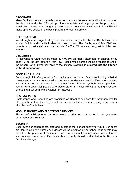### <span id="page-10-0"></span>**PROGRAMS**

Many families choose to provide programs to explain the services and list the honors on the day of the simcha. CEH will provide a template and language for the program. If you'd like to make any changes, please do so in consultation with the Rabbi. CEH will make up to 50 copies of the basic program for your ceremony.

### <span id="page-10-1"></span>**CELEBRATIONS**

We strongly encourage hosting the celebration party after the Bar/Bat Mitzvah in a kosher facility and/or with kosher food and drinks. The Rabbi, our Office Staff and parents who just celebrated their child's Bar/Bat Mitzvah can suggest facilities and vendors.

### <span id="page-10-2"></span>**DELIVERIES**

All deliveries to CEH must be made by 4:00 PM on Friday afternoon for Shabbat or by 4:00 PM on the day before a Yom Tov. A designated person will be available to check the Kashrut of all items delivered to the kitchen. **Nothing is allowed into the kitchen without supervision**.

### <span id="page-10-3"></span>**FOOD AND LIQUOR**

Food brought into Congregation Etz Hayim must be kosher. Our current policy is that all cheese and wine are considered kosher. As a courtesy, we ask that if you are providing wine that is not hechshered (i.e., does not have a Kosher symbol), please provide a kosher wine option for people who would prefer it. If your *simcha* is during Passover, everything must be marked Kosher for Passover.

#### <span id="page-10-4"></span>**PHOTOGRAPHS**

Photographs and Recording are prohibited on Shabbat and Yom Tov. Arrangements for photographs in the Sanctuary should be made for the week immediately preceding or after the Bar/Bat Mitzvah.

### <span id="page-10-5"></span>**MOBILE PHONES AND ELECTRONIC DEVICES**

The use of mobile phones and other electronic devices is prohibited in the synagogue on Shabbat and Yom Tov.

#### <span id="page-10-6"></span>**SECURITY**

Security of our congregants, staff and guests is the highest priority for CEH. Our doors are kept locked at all times and visitors will be admitted by an usher. Your guests may be asked the purpose of their visit. There are additional security measures in place to keep our community safe. Questions about security should be directed to the Rabbi or Facilities Manager.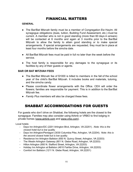# FINANCIAL MATTERS

### <span id="page-11-0"></span>**GENERAL**

- The Bar/Bat Mitzvah family must be a member of Congregation Etz Hayim. All synagogue obligations (dues, tuition, Building Fund Assessment, etc.) must be current. A member who is not in good standing (more than 60 days in arrears) will be contacted at 6 months and again at 3 months prior to the Bar/Bat Mitzvah to allow the family to attain good standing or to make special arrangements. If special arrangements are requested, they must be in place at least four months before the simcha date.
- All Bar/Bat Mitzvah fees must be paid in full no later than the week before the service.
- The host family is responsible for any damages to the synagogue or its facilities by any of their guests or agents.

### <span id="page-11-1"></span>**BAR OR BAT MITZVAH FEES**

- The Bar/Bat Mitzvah fee of \$1000 is billed to members in the fall of the school year of the child's Bar/Bat Mitzvah. It includes books and materials, tutoring, and the simcha candy.
- Please coordinate flower arrangements with the Office. CEH will order the flowers; families are responsible for payment. This is in addition to the Bar/Bat Mitzvah fee.
- <span id="page-11-2"></span>● *Family Plus* members will also be charged these fees.

# SHABBAT ACCOMMODATIONS FOR GUESTS

For guests who don't drive on Shabbat, the following hotels are the closest to the synagogue. Families may also consider using Airbnb or VRBO to find lodging in private homes ([www.airbnb.com](http://www.airbnb.com/) and [www.vrbo.com\)](http://www.vrbo.com/).

Local hotels:

- Days Inn Arlington/DC (2201 Arlington Blvd, Arlington, VA 22201) . *Note: this is the closest hotel but is low quality.*
- Days Inn Arlington/Pentagon (3030 Columbia Pike, Arlington, VA 22204). *Note: this is the second closest hotel but is low quality.*
- Residence Inn Arlington Ballston (650 N. Quincy Street, Arlington, VA 22203)
- The Westin Arlington Gateway (801 N. Glebe Road, Arlington, VA 22203)
- Hilton Arlington (950 N. Stafford Street, Arlington, VA 22203)
- Holiday Inn Arlington at Ballston (4610 Fairfax Drive, Arlington, VA 22203)
- Comfort Inn Ballston (1211 N. Glebe Road, Arlington, VA 22201)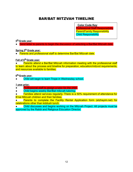# <span id="page-12-0"></span>BAR/BAT MITZVAH TIMELINE

Color Code Key:

**Professional Staff Responsibility Parent/Family Responsibility Child Responsibility** 

### **5 th Grade year:**

Send letter to parents to begin the discussion of selecting a Bar/Bat Mitzvah date.

### **Spring 5 th Grade year:**

● Parents and professional staff to determine Bar/Bat Mitzvah date.

# **Fall of 6 th Grade year:**

● Parents attend a Bar/Bat Mitzvah information meeting with the professional staff to learn about the process and timeline for preparation, education/mitzvot requirements, and resources available to families.

# **6 th Grade year:**

Child will begin to learn Trope in Wednesday school.

### **1 year prior:**

- Professional staff to assign a tutor for the child.
- Child begins weekly Bar/Bat mitzvah tutoring.
- Families attend services regularly. There is a 50% requirement of attendance for B'nai Mitzvah children and their families.
- Parents to complete the Facility Rental Application form (etzhayim.net) for celebrations other than kiddush lunch.
- Child discusses and begins working on the Mitzvah Project. All projects must be approved by the Rabbi and Religious Education Director.